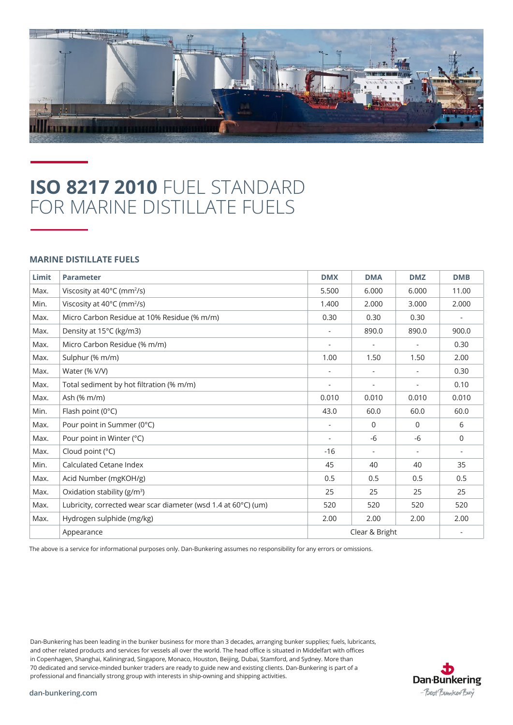

## **ISO 8217 2010** FUEL STANDARD FOR MARINE DISTILLATE FUELS

## **MARINE DISTILLATE FUELS**

| Limit | <b>Parameter</b>                                               | <b>DMX</b>               | <b>DMA</b>               | <b>DMZ</b> | <b>DMB</b>               |
|-------|----------------------------------------------------------------|--------------------------|--------------------------|------------|--------------------------|
| Max.  | Viscosity at 40°C (mm <sup>2</sup> /s)                         | 5.500                    | 6.000                    | 6.000      | 11.00                    |
| Min.  | Viscosity at 40°C (mm <sup>2</sup> /s)                         | 1.400                    | 2.000                    | 3.000      | 2.000                    |
| Max.  | Micro Carbon Residue at 10% Residue (% m/m)                    | 0.30                     | 0.30                     | 0.30       |                          |
| Max.  | Density at 15°C (kg/m3)                                        |                          | 890.0                    | 890.0      | 900.0                    |
| Max.  | Micro Carbon Residue (% m/m)                                   |                          | $\overline{\phantom{m}}$ |            | 0.30                     |
| Max.  | Sulphur (% m/m)                                                | 1.00                     | 1.50                     | 1.50       | 2.00                     |
| Max.  | Water (% V/V)                                                  | $\overline{a}$           | $\overline{\phantom{a}}$ |            | 0.30                     |
| Max.  | Total sediment by hot filtration (% m/m)                       | $\overline{\phantom{a}}$ | $\overline{\phantom{a}}$ |            | 0.10                     |
| Max.  | Ash (% m/m)                                                    | 0.010                    | 0.010                    | 0.010      | 0.010                    |
| Min.  | Flash point (0°C)                                              | 43.0                     | 60.0                     | 60.0       | 60.0                     |
| Max.  | Pour point in Summer (0°C)                                     |                          | $\Omega$                 | $\Omega$   | 6                        |
| Max.  | Pour point in Winter (°C)                                      | $\overline{\phantom{a}}$ | $-6$                     | -6         | $\mathbf 0$              |
| Max.  | Cloud point (°C)                                               | $-16$                    | $\overline{\phantom{a}}$ |            | $\overline{\phantom{a}}$ |
| Min.  | <b>Calculated Cetane Index</b>                                 | 45                       | 40                       | 40         | 35                       |
| Max.  | Acid Number (mgKOH/g)                                          | 0.5                      | 0.5                      | 0.5        | 0.5                      |
| Max.  | Oxidation stability (g/m <sup>3</sup> )                        | 25                       | 25                       | 25         | 25                       |
| Max.  | Lubricity, corrected wear scar diameter (wsd 1.4 at 60°C) (um) | 520                      | 520                      | 520        | 520                      |
| Max.  | Hydrogen sulphide (mg/kg)                                      | 2.00                     | 2.00                     | 2.00       | 2.00                     |
|       | Appearance                                                     | Clear & Bright           |                          |            |                          |

The above is a service for informational purposes only. Dan-Bunkering assumes no responsibility for any errors or omissions.

Dan-Bunkering has been leading in the bunker business for more than 3 decades, arranging bunker supplies; fuels, lubricants, and other related products and services for vessels all over the world. The head office is situated in Middelfart with offices in Copenhagen, Shanghai, Kaliningrad, Singapore, Monaco, Houston, Beijing, Dubai, Stamford, and Sydney. More than 70 dedicated and service-minded bunker traders are ready to guide new and existing clients. Dan-Bunkering is part of a professional and financially strong group with interests in ship-owning and shipping activities.